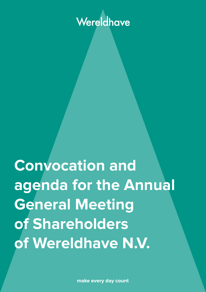# Wereldhave

**Convocation and agenda for the Annual General Meeting of Shareholders of Wereldhave N.V.**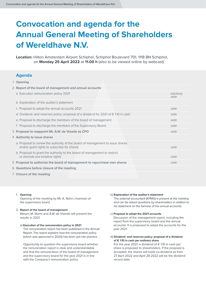## **Convocation and agenda for the Annual General Meeting of Shareholders of Wereldhave N.V.**

**Location:** Hilton Amsterdam Airport Schiphol, Schiphol Boulevard 701, 1118 BN Schiphol, on **Monday 25 April 2022** at **11.00 h** (also to be viewed online by webcast).

#### **Agenda**

1 **Opening**

|  | 2 Report of the board of management and annual accounts                                                                     |                  |
|--|-----------------------------------------------------------------------------------------------------------------------------|------------------|
|  | a Execution remuneration policy 2021                                                                                        | advisory<br>vote |
|  | b Explanation of the auditor's statement                                                                                    |                  |
|  | c Proposal to adopt the annual accounts 2021                                                                                | vote             |
|  | d Dividend- and reserves policy: proposal of a dividend for 2021 of $\epsilon$ 1.10 in cash                                 | vote             |
|  | e Proposal to discharge the members of the board of management                                                              | vote             |
|  | f Proposal to discharge the members of the Supervisory Board                                                                | vote             |
|  | 3 Proposal to reappoint Mr. A.W. de Vreede as CFO                                                                           | vote             |
|  | 4 Authority to issue shares                                                                                                 |                  |
|  | a Proposal to renew the authority of the board of management to issue shares<br>and/or grant rights to subscribe for shares | vote             |
|  | b Proposal to grant the authority to the board of management to restrict<br>or exclude pre-emptive rights                   | vote             |
|  | 5 Proposal to authorize the board of management to repurchase own shares                                                    | vote             |
|  | 6 Questions before closure of the meeting                                                                                   |                  |
|  |                                                                                                                             |                  |

7 **Closure of the meeting**

#### 1. **Opening**

Opening of the meeting by Mr. A. Nühn, chairman of the supervisory board.

#### 2. **Report of the board of management**  Messrs M. Storm and A.W. de Vreede will present the results in 2021.

a) **Execution of the remuneration policy in 2021** The remuneration report has been published in the Annual Report. The report explains how the remuneration policy (which was approved in 2020) has been put into practice.

Opportunity to question the supervisory board whether the remuneration report is clear and understandable and that the remuneration of the board of management and the supervisory board for the year 2021 is in line with the Company's remuneration policy.

#### b) **Explanation of the auditor's statement**

The external accountant (KPMG) is present at the meeting and can be asked questions by shareholders in relation to his statement on the fairness of the annual accounts.

#### c) **Proposal to adopt the 2021 accounts**

Discussion of the management report, including the report from the supervisory board and the annual accounts. It is proposed to adopt the accounts for the year 2021.

d) **Dividend- and reserves policy: proposal of a dividend of € 1.10 in cash per ordinary share**

For the year 2021, a dividend of  $\epsilon$  1.10 in cash per share is proposed to shareholders. If the proposal is accepted, the shares will trade ex-dividend as from 27 April 2022 and April 28 2022 will be the dividend record date.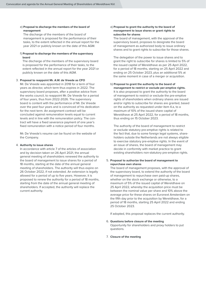#### e) **Proposal to discharge the members of the board of management**

The discharge of the members of the board of management is proposed for the performance of their tasks, to the extent reflected in the annual report for the year 2021 or publicly known on the date of this AGM.

f) **Proposal to discharge the members of the supervisory board**

The discharge of the members of the supervisory board is proposed for the performance of their tasks, to the extent reflected in the annual report for the year 2021 or publicly known on the date of this AGM.

#### 3. **Proposal to reappoint Mr. A.W. de Vreede as CFO**

Mr. De Vreede was appointed in 2018 for a term of four years as director, which term thus expires in 2022. The supervisory board proposes, after a positive advice from the works council, to reappoint Mr. De Vreede for a period of four years, thus from 2022-2026. The supervisory board is content with the performance of Mr. De Vreede over the past four years and is convinced of his dedication for the next term. An assignment contract will be concluded against remuneration levels equal to current levels and in line with the remuneration policy. The contract will have a fixed severance payment of one year's fixed remuneration with a notice period of four months.

Mr. De Vreede's resume can be found on the website of the Company.

#### 4. **Authority to issue shares**

In accordance with article 7 of the articles of association and by decision taken on 26 April 2021, the annual general meeting of shareholders renewed the authority to the board of management to issue shares for a period of 18 months, starting at the date of the annual general meeting of shareholders. The authority will thus expire on 26 October 2022, if not extended. An extension is legally allowed for a period of up to five years. However, it is proposed to renew the authority for a period of 18 months, starting from the date of the annual general meeting of shareholders. If accepted, the authority will replace the current authority.

#### a) **Proposal to grant the authority to the board of management to issue shares or grant rights to subscribe for shares**

The board of management, with the approval of the supervisory board, proposes to designate the board of management as authorized body to issue ordinary shares and to grant rights to subscribe for those shares.

The delegation of the power to issue shares and to grant the right to subscribe for shares is limited to 5% of the issued capital of Wereldhave as per 25 April 2022, for a period of 18 months, starting on 25 April 2022 and ending on 25 October 2023, plus an additional 5% at the same moment in case of a merger or acquisition.

#### b) **Proposal to grant the authority to the board of management to restrict or exclude per-emptive rights.** It is also proposed to grant the authority to the board of management to restrict or exclude the pre-emptive rights of shareholders when ordinary shares are issued and/or rights to subscribe for shares are granted, based on the authority as requested under item 4.a, to a maximum of 10% of the issued share capital of Wereldhave at 25 April 2022, for a period of 18 months, thus ending on 15 October 2023.

The authority of the board of management to restrict or exclude statutory pre-emptive rights is related to the fact that, due to some foreign legal systems, shareholders outside the Netherlands are not always eligible to exercise statutory pre-emptive rights. In the event of an issue of shares, the board of management may decide in conformity with market practice to grant existing shareholders non-statutory pre-emptive rights.

#### 5. **Proposal to authorize the board of management to repurchase own shares**

The board of management proposes, with the approval of the supervisory board, to extend the authority of the board of management to repurchase own paid-up shares, whether on the stock exchange or otherwise, to a maximum of 5% of the issued capital of Wereldhave on 25 April 2022, whereby the acquisition price must be between the nominal value per share and 10% above the average price for these shares on Euronext Amsterdam on the fifth day prior to the acquisition by Wereldhave, for a period of 18 months, starting 25 April 2022 and ending 25 October 2023.

If adopted, this proposal replaces the current authority.

- 6. **Questions before closure of the meeting** Opportunity for shareholders and proxy holders to put questions.
- 7. **Closure of the meeting**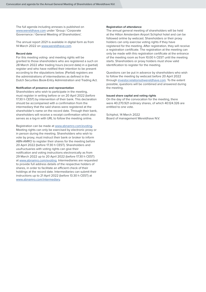The full agenda including annexes is published on www.wereldhave.com under 'Group / Corporate Governance / General Meeting of Shareholders'.

The annual report 2021 is available in digital form as from 14 March 2022 on www.wereldhave.com.

#### **Record date**

For this meeting voting- and meeting rights will be granted to those shareholders who are registered a such on 28 March 2022 after trading hours (record date) in a (partial) register and who have notified their intention to be present according to the stipulations below. (Partial) registers are the administrations of intermediaries as defined in the Dutch Securities Book-Entry Administration and Trading Act.

#### **Notification of presence and representation**

Shareholders who wish to participate in the meeting, must register in writing before or on 20 April 2022 (before 17.30 h CEST) by intervention of their bank. This declaration should be accompanied with a confirmation from the intermediary that the said shares were registered at the shareholder's name on the record date. Through their bank, shareholders will receive a receipt confirmation which also serves as a log-in with URL to follow the meeting online.

Registration can be made at www.abnamro.com/evoting. Meeting rights can only be exercised by electronic proxy or in person during the meeting. Shareholders who wish to vote by proxy, must instruct their bank or broker to inform ABN-AMRO to register their shares for the meeting before 20 April 2022 (before 17.30 h CEST). Shareholders and usufructuaries with voting rights can give their notification and voting instructions electronically as from 29 March 2022 up to 20 April 2022 (before 17.30 h CEST) at www.abnamro.com/evoting. Intermediaries are requested to provide full address details of the respective holders of shares, in order to facilitate an efficient check of their holdings at the record date. Intermediaries can submit their instructions up to 21 April 2022 (before 13.30 h CEST) at www.abnamro.com/intermediary.

#### **Registration of attendance**

The annual general meeting of shareholders will be held at the Hilton Amsterdam Airport Schiphol hotel and can be followed online by webcast. Shareholders or their proxy holders can only exercise voting rights if they have registered for the meeting. After registration, they will receive a registration certificate. The registration at the meeting can only be made with this registration certificate at the entrance of the meeting room as from 10.00 h CEST until the meeting starts. Shareholders or proxy holders must show valid identification to register for the meeting.

Questions can be put in advance by shareholders who wish to follow the meeting by webcast before 20 April 2022 through investor.relations@wereldhave.com. To the extent possible, questions will be combined and answered during the meeting.

#### **Issued share capital and voting rights**

On the day of the convocation for the meeting, there were 40.270.921 ordinary shares, of which 40.124.326 are entitled to one vote.

Schiphol, 14 March 2022 Board of management Wereldhave N.V.